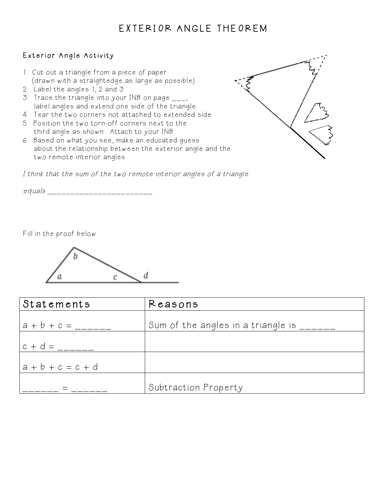## EXTERIOR ANGLE THEOREM

## Exterior Angle Activity

- 1. Cut out a triangle from a piece of paper (drawn with a straightedge as large as possible).
- 2. Label the angles 1, 2 and 3.
- 3. Trace the triangle into your INB on page \_\_\_, label angles and extend one side of the triangle.
- 4. Tear the two corners not attached to extended side.
- 5. Position the two torn-off corners next to the third angle as shown. Attach to your INB.
- 6. Based on what you see, make an educated guess about the relationship between the exterior angle and the two remote interior angles.

I think that the sum of the two remote interior angles of a triangle

 $e$ quals \_\_\_\_\_\_\_\_\_\_\_\_\_\_\_\_\_\_\_\_\_\_\_\_.

Fill in the proof below.



| Statements          | Reasons                            |
|---------------------|------------------------------------|
| $ a + b + c =$      | Sum of the angles in a triangle is |
| $c + d =$           |                                    |
| $a + b + c = c + d$ |                                    |
|                     | Subtraction Property               |